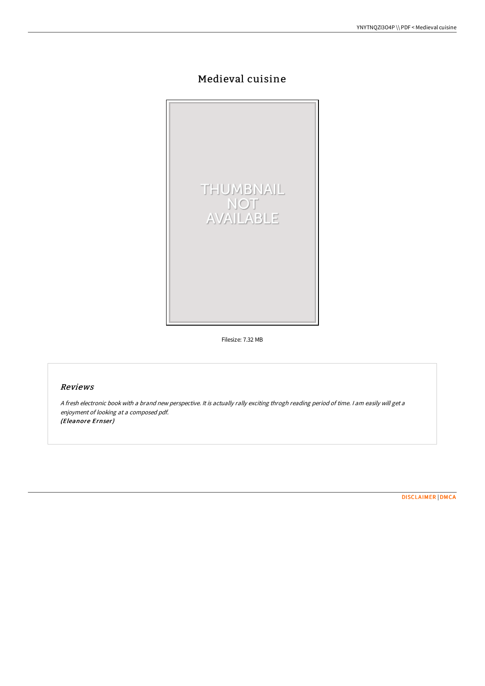# Medieval cuisine



Filesize: 7.32 MB

### Reviews

<sup>A</sup> fresh electronic book with <sup>a</sup> brand new perspective. It is actually rally exciting throgh reading period of time. <sup>I</sup> am easily will get <sup>a</sup> enjoyment of looking at <sup>a</sup> composed pdf. (Eleanore Ernser)

[DISCLAIMER](http://www.bookdirs.com/disclaimer.html) | [DMCA](http://www.bookdirs.com/dmca.html)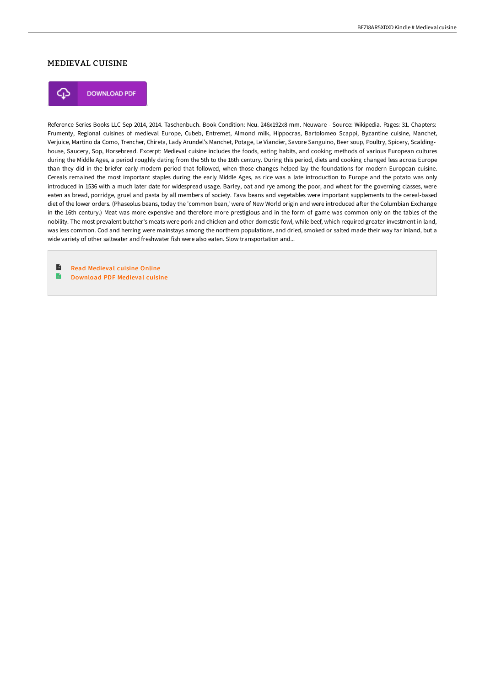### MEDIEVAL CUISINE



**DOWNLOAD PDF** 

Reference Series Books LLC Sep 2014, 2014. Taschenbuch. Book Condition: Neu. 246x192x8 mm. Neuware - Source: Wikipedia. Pages: 31. Chapters: Frumenty, Regional cuisines of medieval Europe, Cubeb, Entremet, Almond milk, Hippocras, Bartolomeo Scappi, Byzantine cuisine, Manchet, Verjuice, Martino da Como, Trencher, Chireta, Lady Arundel's Manchet, Potage, Le Viandier, Savore Sanguino, Beer soup, Poultry, Spicery, Scaldinghouse, Saucery, Sop, Horsebread. Excerpt: Medieval cuisine includes the foods, eating habits, and cooking methods of various European cultures during the Middle Ages, a period roughly dating from the 5th to the 16th century. During this period, diets and cooking changed less across Europe than they did in the briefer early modern period that followed, when those changes helped lay the foundations for modern European cuisine. Cereals remained the most important staples during the early Middle Ages, as rice was a late introduction to Europe and the potato was only introduced in 1536 with a much later date for widespread usage. Barley, oat and rye among the poor, and wheat for the governing classes, were eaten as bread, porridge, gruel and pasta by all members of society. Fava beans and vegetables were important supplements to the cereal-based diet of the lower orders. (Phaseolus beans, today the 'common bean,' were of New World origin and were introduced after the Columbian Exchange in the 16th century.) Meat was more expensive and therefore more prestigious and in the form of game was common only on the tables of the nobility. The most prevalent butcher's meats were pork and chicken and other domestic fowl, while beef, which required greater investment in land, was less common. Cod and herring were mainstays among the northern populations, and dried, smoked or salted made their way far inland, but a wide variety of other saltwater and freshwater fish were also eaten. Slow transportation and...

B Read [Medieval](http://www.bookdirs.com/medieval-cuisine.html) cuisine Online e [Download](http://www.bookdirs.com/medieval-cuisine.html) PDF Medieval cuisine